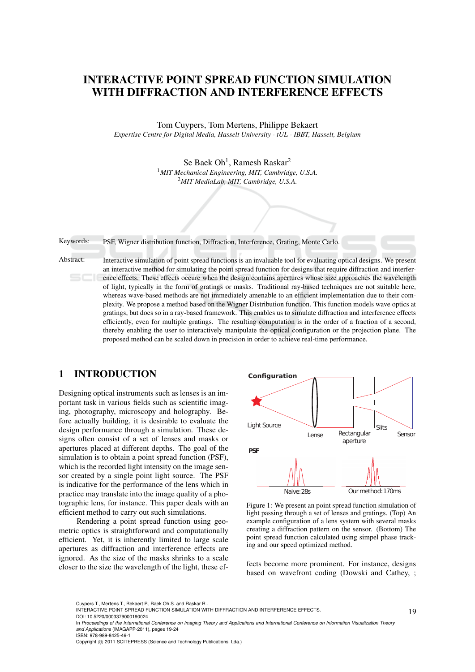# INTERACTIVE POINT SPREAD FUNCTION SIMULATION WITH DIFFRACTION AND INTERFERENCE EFFECTS

Tom Cuypers, Tom Mertens, Philippe Bekaert *Expertise Centre for Digital Media, Hasselt University - tUL - IBBT, Hasselt, Belgium*

> Se Baek Oh<sup>1</sup>, Ramesh Raskar<sup>2</sup> <sup>1</sup>*MIT Mechanical Engineering, MIT, Cambridge, U.S.A.* <sup>2</sup>*MIT MediaLab, MIT, Cambridge, U.S.A.*



## 1 INTRODUCTION

Designing optical instruments such as lenses is an important task in various fields such as scientific imaging, photography, microscopy and holography. Before actually building, it is desirable to evaluate the design performance through a simulation. These designs often consist of a set of lenses and masks or apertures placed at different depths. The goal of the simulation is to obtain a point spread function (PSF), which is the recorded light intensity on the image sensor created by a single point light source. The PSF is indicative for the performance of the lens which in practice may translate into the image quality of a photographic lens, for instance. This paper deals with an efficient method to carry out such simulations.

Rendering a point spread function using geometric optics is straightforward and computationally efficient. Yet, it is inherently limited to large scale apertures as diffraction and interference effects are ignored. As the size of the masks shrinks to a scale closer to the size the wavelength of the light, these ef-



Figure 1: We present an point spread function simulation of light passing through a set of lenses and gratings. (Top) An example configuration of a lens system with several masks creating a diffraction pattern on the sensor. (Bottom) The point spread function calculated using simpel phase tracking and our speed optimized method.

fects become more prominent. For instance, designs based on wavefront coding (Dowski and Cathey, ;

Cuypers T., Mertens T., Bekaert P., Baek Oh S. and Raskar R..

INTERACTIVE POINT SPREAD FUNCTION SIMULATION WITH DIFFRACTION AND INTERFERENCE EFFECTS. DOI: 10.5220/0003379000190024

Copyright © 2011 SCITEPRESS (Science and Technology Publications, Lda.)

In *Proceedings of the International Conference on Imaging Theory and Applications and International Conference on Information Visualization Theory and Applications* (IMAGAPP-2011), pages 19-24 ISBN: 978-989-8425-46-1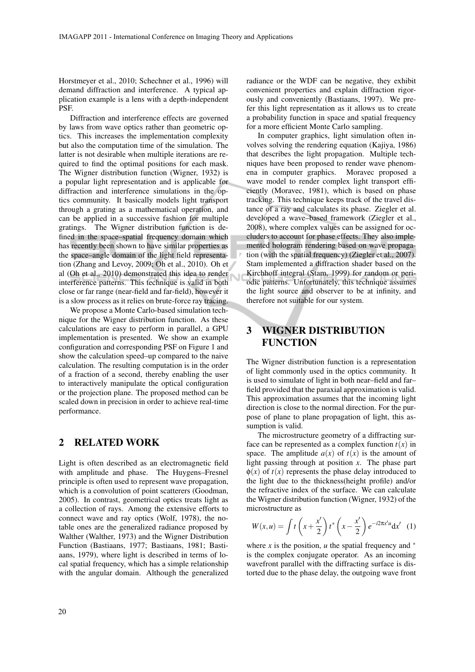Horstmeyer et al., 2010; Schechner et al., 1996) will demand diffraction and interference. A typical application example is a lens with a depth-independent PSF.

Diffraction and interference effects are governed by laws from wave optics rather than geometric optics. This increases the implementation complexity but also the computation time of the simulation. The latter is not desirable when multiple iterations are required to find the optimal positions for each mask. The Wigner distribution function (Wigner, 1932) is a popular light representation and is applicable for diffraction and interference simulations in the optics community. It basically models light transport through a grating as a mathematical operation, and can be applied in a successive fashion for multiple gratings. The Wigner distribution function is defined in the space–spatial frequency domain which has recently been shown to have similar properties as the space–angle domain of the light field representation (Zhang and Levoy, 2009; Oh et al., 2010). Oh et al (Oh et al., 2010) demonstrated this idea to render interference patterns. This technique is valid in both close or far range (near-field and far-field), however it is a slow process as it relies on brute-force ray tracing.

We propose a Monte Carlo-based simulation technique for the Wigner distribution function. As these calculations are easy to perform in parallel, a GPU implementation is presented. We show an example configuration and corresponding PSF on Figure 1 and show the calculation speed–up compared to the naive calculation. The resulting computation is in the order of a fraction of a second, thereby enabling the user to interactively manipulate the optical configuration or the projection plane. The proposed method can be scaled down in precision in order to achieve real-time performance.

## 2 RELATED WORK

Light is often described as an electromagnetic field with amplitude and phase. The Huygens–Fresnel principle is often used to represent wave propagation, which is a convolution of point scatterers (Goodman, 2005). In contrast, geometrical optics treats light as a collection of rays. Among the extensive efforts to connect wave and ray optics (Wolf, 1978), the notable ones are the generalized radiance proposed by Walther (Walther, 1973) and the Wigner Distribution Function (Bastiaans, 1977; Bastiaans, 1981; Bastiaans, 1979), where light is described in terms of local spatial frequency, which has a simple relationship with the angular domain. Although the generalized

radiance or the WDF can be negative, they exhibit convenient properties and explain diffraction rigorously and conveniently (Bastiaans, 1997). We prefer this light representation as it allows us to create a probability function in space and spatial frequency for a more efficient Monte Carlo sampling.

In computer graphics, light simulation often involves solving the rendering equation (Kajiya, 1986) that describes the light propagation. Multiple techniques have been proposed to render wave phenomena in computer graphics. Moravec proposed a wave model to render complex light transport efficiently (Moravec, 1981), which is based on phase tracking. This technique keeps track of the travel distance of a ray and calculates its phase. Ziegler et al. developed a wave–based framework (Ziegler et al., 2008), where complex values can be assigned for occluders to account for phase effects. They also implemented hologram rendering based on wave propagation (with the spatial frequency) (Ziegler et al., 2007). Stam implemented a diffraction shader based on the Kirchhoff integral (Stam, 1999) for random or periodic patterns. Unfortunately, this technique assumes the light source and observer to be at infinity, and therefore not suitable for our system.

## 3 WIGNER DISTRIBUTION **FUNCTION**

Ń

The Wigner distribution function is a representation of light commonly used in the optics community. It is used to simulate of light in both near–field and far– field provided that the paraxial approximation is valid. This approximation assumes that the incoming light direction is close to the normal direction. For the purpose of plane to plane propagation of light, this assumption is valid.

The microstructure geometry of a diffracting surface can be represented as a complex function  $t(x)$  in space. The amplitude  $a(x)$  of  $t(x)$  is the amount of light passing through at position *x*. The phase part  $\phi(x)$  of  $t(x)$  represents the phase delay introduced to the light due to the thickness(height profile) and/or the refractive index of the surface. We can calculate the Wigner distribution function (Wigner, 1932) of the microstructure as

$$
W(x, u) = \int t \left(x + \frac{x'}{2}\right) t^* \left(x - \frac{x'}{2}\right) e^{-i2\pi x' u} dx'
$$
 (1)

where *x* is the position, *u* the spatial frequency and  $*$ is the complex conjugate operator. As an incoming wavefront parallel with the diffracting surface is distorted due to the phase delay, the outgoing wave front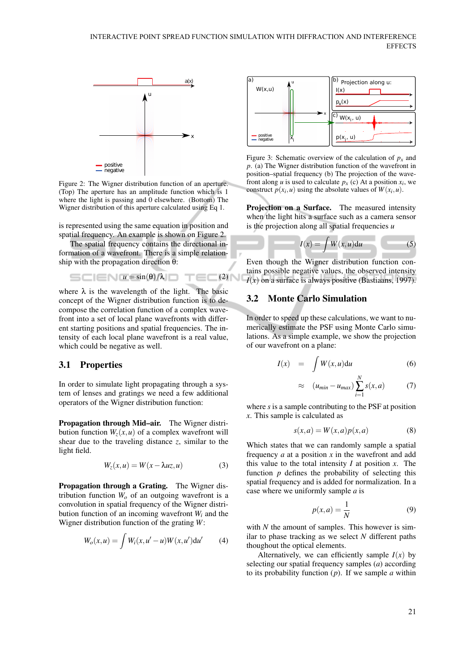

Figure 2: The Wigner distribution function of an aperture. (Top) The aperture has an amplitude function which is 1 where the light is passing and 0 elsewhere. (Bottom) The Wigner distribution of this aperture calculated using Eq 1.

is represented using the same equation in position and spatial frequency. An example is shown on Figure 2.

The spatial frequency contains the directional information of a wavefront. There is a simple relationship with the propagation direction θ:

 $=$   $(2)$   $\vee$ 

$$
= \square
$$
  $\square$   $\square$   $\square$   $\square$   $\square$   $\square$   $\square$   $\square$   $\square$   $\square$   $\square$   $\square$   $\square$   $\square$   $\square$   $\square$   $\square$   $\square$   $\square$   $\square$   $\square$   $\square$   $\square$   $\square$   $\square$   $\square$   $\square$   $\square$   $\square$   $\square$   $\square$   $\square$   $\square$   $\square$   $\square$   $\square$   $\square$   $\square$   $\square$   $\square$   $\square$   $\square$   $\square$   $\square$   $\square$   $\square$   $\square$   $\square$   $\square$   $\square$   $\square$   $\square$   $\square$   $\square$   $\square$   $\square$   $\square$   $\square$   $\square$   $\square$   $\square$   $\square$   $\square$   $\square$   $\square$   $\square$   $\square$   $\square$   $\square$   $\square$   $\square$   $\square$   $\square$   $\square$   $\square$   $\square$   $\square$   $\square$   $\square$   $\square$   $\square$   $\square$   $\square$   $\square$   $\square$   $\square$   $\square$   $\square$   $\square$   $\square$   $\square$   $\square$   $\square$   $\square$   $\square$   $\square$   $\square$   $\square$   $\square$   $\square$   $\square$   $\square$   $\square$   $\square$   $\square$   $\square$   $\square$   $\square$ 

where  $\lambda$  is the wavelength of the light. The basic concept of the Wigner distribution function is to decompose the correlation function of a complex wavefront into a set of local plane wavefronts with different starting positions and spatial frequencies. The intensity of each local plane wavefront is a real value, which could be negative as well.

#### 3.1 Properties

In order to simulate light propagating through a system of lenses and gratings we need a few additional operators of the Wigner distribution function:

Propagation through Mid–air. The Wigner distribution function  $W_z(x, u)$  of a complex wavefront will shear due to the traveling distance *z*, similar to the light field.

$$
W_z(x, u) = W(x - \lambda u z, u)
$$
 (3)

Propagation through a Grating. The Wigner distribution function  $W<sub>o</sub>$  of an outgoing wavefront is a convolution in spatial frequency of the Wigner distribution function of an incoming wavefront *W<sup>i</sup>* and the Wigner distribution function of the grating *W*:

$$
W_o(x, u) = \int W_i(x, u' - u) W(x, u') du' \tag{4}
$$



Figure 3: Schematic overview of the calculation of  $p<sub>x</sub>$  and *p*. (a) The Wigner distribution function of the wavefront in position–spatial frequency (b) The projection of the wavefront along *u* is used to calculate  $p_x$  (c) At a position  $x_i$ , we construct  $p(x_i, u)$  using the absolute values of  $W(x_i, u)$ .

Projection on a Surface. The measured intensity when the light hits a surface such as a camera sensor is the projection along all spatial frequencies *u*

$$
I(x) = \int W(x, u) \mathrm{d}u \tag{5}
$$

Even though the Wigner distribution function contains possible negative values, the observed intensity  $I(x)$  on a surface is always positive (Bastiaans, 1997).

#### 3.2 Monte Carlo Simulation

In order to speed up these calculations, we want to numerically estimate the PSF using Monte Carlo simulations. As a simple example, we show the projection of our wavefront on a plane:

$$
I(x) = \int W(x, u) \mathrm{d}u \tag{6}
$$

$$
\approx (u_{min} - u_{max}) \sum_{i=1}^{N} s(x, a)
$$
 (7)

where *s* is a sample contributing to the PSF at position *x*. This sample is calculated as

$$
s(x,a) = W(x,a)p(x,a)
$$
 (8)

Which states that we can randomly sample a spatial frequency *a* at a position *x* in the wavefront and add this value to the total intensity  $I$  at position  $x$ . The function  $p$  defines the probability of selecting this spatial frequency and is added for normalization. In a case where we uniformly sample *a* is

$$
p(x,a) = \frac{1}{N} \tag{9}
$$

with *N* the amount of samples. This however is similar to phase tracking as we select *N* different paths thoughout the optical elements.

Alternatively, we can efficiently sample  $I(x)$  by selecting our spatial frequency samples (*a*) according to its probability function (*p*). If we sample *a* within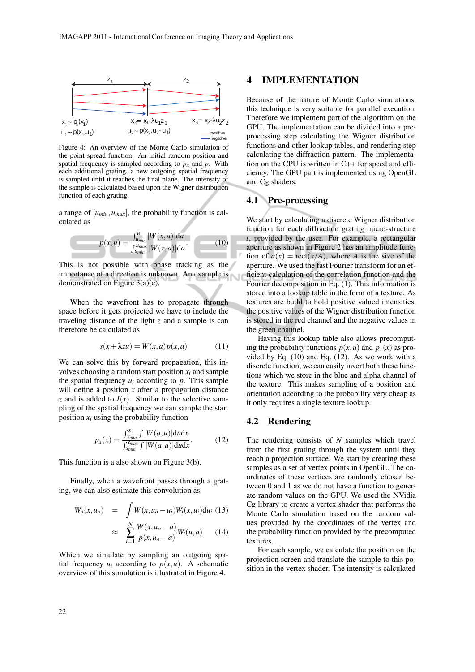

Figure 4: An overview of the Monte Carlo simulation of the point spread function. An initial random position and spatial frequency is sampled according to  $p<sub>x</sub>$  and  $p$ . With each additional grating, a new outgoing spatial frequency is sampled until it reaches the final plane. The intensity of the sample is calculated based upon the Wigner distribution function of each grating.

a range of  $[u_{min}, u_{max}]$ , the probability function is calculated as

$$
p(x, u) = \frac{\int_{u_{min}}^{u} |W(x, a)| da}{\int_{u_{min}}^{u_{max}} |W(x, a)| da}.
$$
 (10)

This is not possible with phase tracking as the importance of a direction is unknown. An example is demonstrated on Figure 3(a)(c).

When the wavefront has to propagate through space before it gets projected we have to include the traveling distance of the light *z* and a sample is can therefore be calculated as

$$
s(x + \lambda z u) = W(x, a) p(x, a)
$$
 (11)

We can solve this by forward propagation, this involves choosing a random start position  $x_i$  and sample the spatial frequency  $u_i$  according to  $p$ . This sample will define a position *x* after a propagation distance *z* and is added to  $I(x)$ . Similar to the selective sampling of the spatial frequency we can sample the start position  $x_i$  using the probability function

$$
p_x(x) = \frac{\int_{x_{min}}^x \int |W(a, u)| \, \mathrm{d}u \, \mathrm{d}x}{\int_{x_{min}}^x \int |W(a, u)| \, \mathrm{d}u \, \mathrm{d}x}.\tag{12}
$$

This function is a also shown on Figure 3(b).

Finally, when a wavefront passes through a grating, we can also estimate this convolution as

$$
W_o(x, u_o) = \int W(x, u_o - u_i) W_i(x, u_i) \, du_i \tag{13}
$$

$$
\approx \sum_{i=1}^{N} \frac{W(x, u_o - a)}{p(x, u_o - a)} W_i(u, a) \qquad (14)
$$

Which we simulate by sampling an outgoing spatial frequency  $u_i$  according to  $p(x, u)$ . A schematic overview of this simulation is illustrated in Figure 4.

### 4 IMPLEMENTATION

Because of the nature of Monte Carlo simulations, this technique is very suitable for parallel execution. Therefore we implement part of the algorithm on the GPU. The implementation can be divided into a preprocessing step calculating the Wigner distribution functions and other lookup tables, and rendering step calculating the diffraction pattern. The implementation on the CPU is written in C++ for speed and efficiency. The GPU part is implemented using OpenGL and Cg shaders.

#### 4.1 Pre-processing

We start by calculating a discrete Wigner distribution function for each diffraction grating micro-structure *t*, provided by the user. For example, a rectangular aperture as shown in Figure 2 has an amplitude function of  $a(x) = \text{rect}(x/A)$ , where *A* is the size of the aperture. We used the fast Fourier transform for an efficient calculation of the correlation function and the Fourier decomposition in Eq. (1). This information is stored into a lookup table in the form of a texture. As textures are build to hold positive valued intensities, the positive values of the Wigner distribution function is stored in the red channel and the negative values in the green channel.

Having this lookup table also allows precomputing the probability functions  $p(x, u)$  and  $p_x(x)$  as provided by Eq. (10) and Eq. (12). As we work with a discrete function, we can easily invert both these functions which we store in the blue and alpha channel of the texture. This makes sampling of a position and orientation according to the probability very cheap as it only requires a single texture lookup.

#### 4.2 Rendering

The rendering consists of *N* samples which travel from the first grating through the system until they reach a projection surface. We start by creating these samples as a set of vertex points in OpenGL. The coordinates of these vertices are randomly chosen between 0 and 1 as we do not have a function to generate random values on the GPU. We used the NVidia Cg library to create a vertex shader that performs the Monte Carlo simulation based on the random values provided by the coordinates of the vertex and the probability function provided by the precomputed textures.

For each sample, we calculate the position on the projection screen and translate the sample to this position in the vertex shader. The intensity is calculated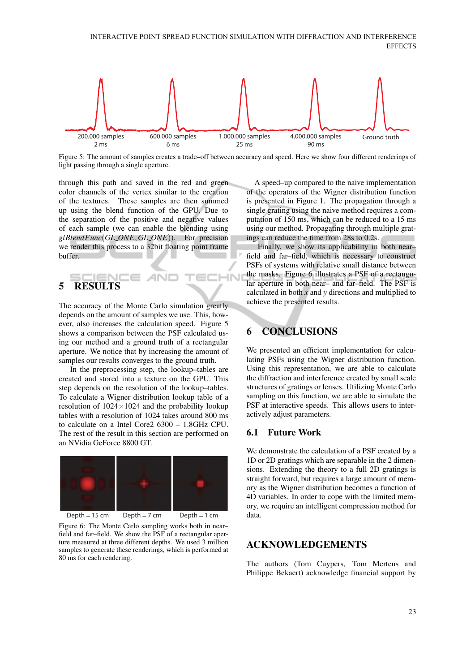

Figure 5: The amount of samples creates a trade–off between accuracy and speed. Here we show four different renderings of light passing through a single aperture.

IN

through this path and saved in the red and green color channels of the vertex similar to the creation of the textures. These samples are then summed up using the blend function of the GPU. Due to the separation of the positive and negative values of each sample (we can enable the blending using *glBlendFunc*(*GL ONE*,*GL ONE*)). For precision we render this process to a 32bit floating point frame buffer.

# 5 RESULTS

The accuracy of the Monte Carlo simulation greatly depends on the amount of samples we use. This, however, also increases the calculation speed. Figure 5 shows a comparison between the PSF calculated using our method and a ground truth of a rectangular aperture. We notice that by increasing the amount of samples our results converges to the ground truth.

In the preprocessing step, the lookup–tables are created and stored into a texture on the GPU. This step depends on the resolution of the lookup–tables. To calculate a Wigner distribution lookup table of a resolution of  $1024 \times 1024$  and the probability lookup tables with a resolution of 1024 takes around 800 ms to calculate on a Intel Core2 6300 – 1.8GHz CPU. The rest of the result in this section are performed on an NVidia GeForce 8800 GT.



Figure 6: The Monte Carlo sampling works both in near– field and far–field. We show the PSF of a rectangular aperture measured at three different depths. We used 3 million samples to generate these renderings, which is performed at 80 ms for each rendering.

A speed–up compared to the naive implementation of the operators of the Wigner distribution function is presented in Figure 1. The propagation through a single grating using the naive method requires a computation of 150 ms, which can be reduced to a 15 ms using our method. Propagating through multiple gratings can reduce the time from 28s to 0.2s.

Finally, we show its applicability in both near– field and far–field, which is necessary to construct PSFs of systems with relative small distance between the masks. Figure 6 illustrates a PSF of a rectangular aperture in both near– and far–field. The PSF is calculated in both *x* and *y* directions and multiplied to achieve the presented results.

# 6 CONCLUSIONS

We presented an efficient implementation for calculating PSFs using the Wigner distribution function. Using this representation, we are able to calculate the diffraction and interference created by small scale structures of gratings or lenses. Utilizing Monte Carlo sampling on this function, we are able to simulate the PSF at interactive speeds. This allows users to interactively adjust parameters.

### 6.1 Future Work

We demonstrate the calculation of a PSF created by a 1D or 2D gratings which are separable in the 2 dimensions. Extending the theory to a full 2D gratings is straight forward, but requires a large amount of memory as the Wigner distribution becomes a function of 4D variables. In order to cope with the limited memory, we require an intelligent compression method for data.

## ACKNOWLEDGEMENTS

The authors (Tom Cuypers, Tom Mertens and Philippe Bekaert) acknowledge financial support by